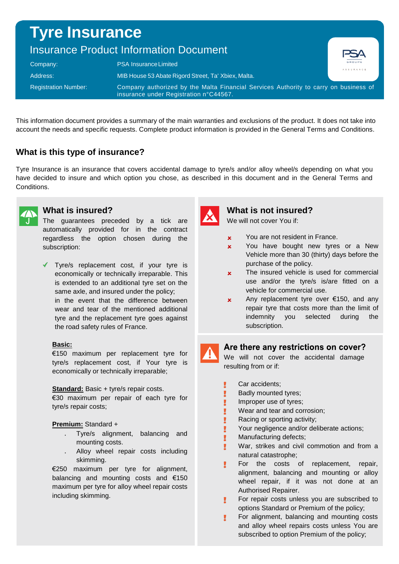# **Tyre Insurance**

## Insurance Product Information Document

| Company:                    | <b>PSA Insurance Limited</b>                                                                                                   | .<br>GROUPE<br>ASSURANCE |
|-----------------------------|--------------------------------------------------------------------------------------------------------------------------------|--------------------------|
| Address:                    | MIB House 53 Abate Rigord Street, Ta' Xbiex, Malta.                                                                            |                          |
| <b>Registration Number:</b> | Company authorized by the Malta Financial Services Authority to carry on business of<br>insurance under Registration n°C44567. |                          |

This information document provides a summary of the main warranties and exclusions of the product. It does not take into account the needs and specific requests. Complete product information is provided in the General Terms and Conditions.

## **What is this type of insurance?**

Tyre Insurance is an insurance that covers accidental damage to tyre/s and/or alloy wheel/s depending on what you have decided to insure and which option you chose, as described in this document and in the General Terms and Conditions.



#### **What is insured?**

The guarantees preceded by a tick are automatically provided for in the contract regardless the option chosen during the subscription:

◆ Tyre/s replacement cost, if your tyre is economically or technically irreparable. This is extended to an additional tyre set on the same axle, and insured under the policy; in the event that the difference between wear and tear of the mentioned additional tyre and the replacement tyre goes against the road safety rules of France.

#### **Basic:**

€150 maximum per replacement tyre for tyre/s replacement cost, if Your tyre is economically or technically irreparable;

#### **Standard:** Basic + tyre/s repair costs.

€30 maximum per repair of each tyre for tyre/s repair costs;

#### **Premium:** Standard +

- Tyre/s alignment, balancing and mounting costs.
- Alloy wheel repair costs including skimming.

€250 maximum per tyre for alignment, balancing and mounting costs and €150 maximum per tyre for alloy wheel repair costs including skimming.



## **What is not insured?**

We will not cover You if:

- x You are not resident in France.
- x You have bought new tyres or a New Vehicle more than 30 (thirty) days before the purchase of the policy.

**DSA** 

- **x** The insured vehicle is used for commercial use and/or the tyre/s is/are fitted on a vehicle for commercial use.
- **x** Any replacement tyre over  $\epsilon$ 150, and any repair tyre that costs more than the limit of indemnity you selected during the subscription.

## Are there any restrictions on cover?

We will not cover the accidental damage resulting from or if:

Car accidents;

I Ţ Ī

- Badly mounted tyres;
- Improper use of tyres;
- Wear and tear and corrosion;
- Racing or sporting activity;
- Your negligence and/or deliberate actions;
- Manufacturing defects;
- War, strikes and civil commotion and from a natural catastrophe;
- For the costs of replacement, repair, alignment, balancing and mounting or alloy wheel repair, if it was not done at an Authorised Repairer.
- For repair costs unless you are subscribed to Ţ. options Standard or Premium of the policy;
- Ţ. For alignment, balancing and mounting costs and alloy wheel repairs costs unless You are subscribed to option Premium of the policy;